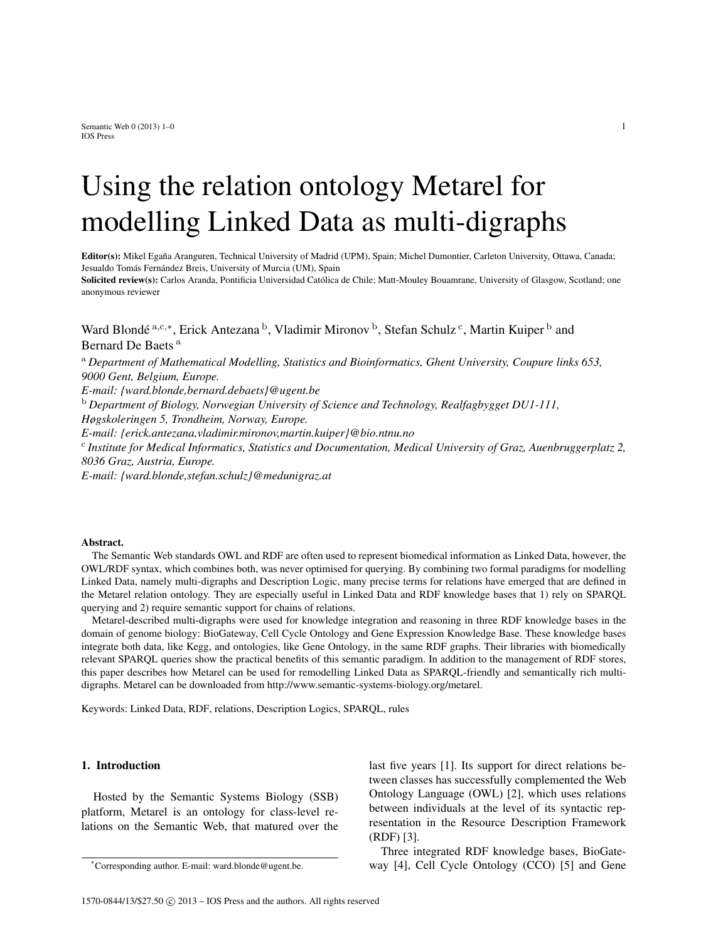Semantic Web  $0$  (2013) 1–0 1 IOS Press

# Using the relation ontology Metarel for modelling Linked Data as multi-digraphs

Editor(s): Mikel Egaña Aranguren, Technical University of Madrid (UPM), Spain; Michel Dumontier, Carleton University, Ottawa, Canada; Jesualdo Tomás Fernández Breis, University of Murcia (UM), Spain Solicited review(s): Carlos Aranda, Pontificia Universidad Católica de Chile; Matt-Mouley Bouamrane, University of Glasgow, Scotland; one anonymous reviewer

Ward Blondé <sup>a,c,∗</sup>, Erick Antezana <sup>b</sup>, Vladimir Mironov <sup>b</sup>, Stefan Schulz <sup>c</sup>, Martin Kuiper <sup>b</sup> and Bernard De Baets<sup>a</sup>

<sup>a</sup> *Department of Mathematical Modelling, Statistics and Bioinformatics, Ghent University, Coupure links 653, 9000 Gent, Belgium, Europe. E-mail: {ward.blonde,bernard.debaets}@ugent.be* <sup>b</sup> *Department of Biology, Norwegian University of Science and Technology, Realfagbygget DU1-111, Høgskoleringen 5, Trondheim, Norway, Europe.*

*E-mail: {erick.antezana,vladimir.mironov,martin.kuiper}@bio.ntnu.no*

c *Institute for Medical Informatics, Statistics and Documentation, Medical University of Graz, Auenbruggerplatz 2, 8036 Graz, Austria, Europe.*

*E-mail: {ward.blonde,stefan.schulz}@medunigraz.at*

#### Abstract.

The Semantic Web standards OWL and RDF are often used to represent biomedical information as Linked Data, however, the OWL/RDF syntax, which combines both, was never optimised for querying. By combining two formal paradigms for modelling Linked Data, namely multi-digraphs and Description Logic, many precise terms for relations have emerged that are defined in the Metarel relation ontology. They are especially useful in Linked Data and RDF knowledge bases that 1) rely on SPARQL querying and 2) require semantic support for chains of relations.

Metarel-described multi-digraphs were used for knowledge integration and reasoning in three RDF knowledge bases in the domain of genome biology: BioGateway, Cell Cycle Ontology and Gene Expression Knowledge Base. These knowledge bases integrate both data, like Kegg, and ontologies, like Gene Ontology, in the same RDF graphs. Their libraries with biomedically relevant SPARQL queries show the practical benefits of this semantic paradigm. In addition to the management of RDF stores, this paper describes how Metarel can be used for remodelling Linked Data as SPARQL-friendly and semantically rich multidigraphs. Metarel can be downloaded from http://www.semantic-systems-biology.org/metarel.

Keywords: Linked Data, RDF, relations, Description Logics, SPARQL, rules

#### 1. Introduction

Hosted by the Semantic Systems Biology (SSB) platform, Metarel is an ontology for class-level relations on the Semantic Web, that matured over the last five years [1]. Its support for direct relations between classes has successfully complemented the Web Ontology Language (OWL) [2], which uses relations between individuals at the level of its syntactic representation in the Resource Description Framework (RDF) [3].

Three integrated RDF knowledge bases, BioGateway [4], Cell Cycle Ontology (CCO) [5] and Gene

<sup>\*</sup>Corresponding author. E-mail: ward.blonde@ugent.be.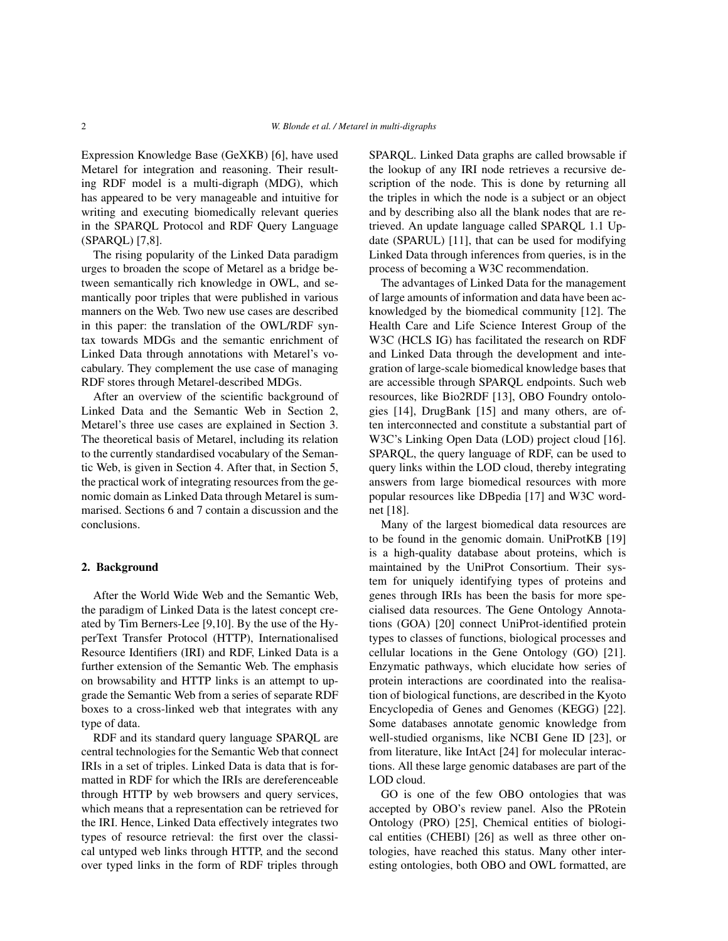Expression Knowledge Base (GeXKB) [6], have used Metarel for integration and reasoning. Their resulting RDF model is a multi-digraph (MDG), which has appeared to be very manageable and intuitive for writing and executing biomedically relevant queries in the SPARQL Protocol and RDF Query Language (SPARQL) [7,8].

The rising popularity of the Linked Data paradigm urges to broaden the scope of Metarel as a bridge between semantically rich knowledge in OWL, and semantically poor triples that were published in various manners on the Web. Two new use cases are described in this paper: the translation of the OWL/RDF syntax towards MDGs and the semantic enrichment of Linked Data through annotations with Metarel's vocabulary. They complement the use case of managing RDF stores through Metarel-described MDGs.

After an overview of the scientific background of Linked Data and the Semantic Web in Section 2, Metarel's three use cases are explained in Section 3. The theoretical basis of Metarel, including its relation to the currently standardised vocabulary of the Semantic Web, is given in Section 4. After that, in Section 5, the practical work of integrating resources from the genomic domain as Linked Data through Metarel is summarised. Sections 6 and 7 contain a discussion and the conclusions.

# 2. Background

After the World Wide Web and the Semantic Web, the paradigm of Linked Data is the latest concept created by Tim Berners-Lee [9,10]. By the use of the HyperText Transfer Protocol (HTTP), Internationalised Resource Identifiers (IRI) and RDF, Linked Data is a further extension of the Semantic Web. The emphasis on browsability and HTTP links is an attempt to upgrade the Semantic Web from a series of separate RDF boxes to a cross-linked web that integrates with any type of data.

RDF and its standard query language SPARQL are central technologies for the Semantic Web that connect IRIs in a set of triples. Linked Data is data that is formatted in RDF for which the IRIs are dereferenceable through HTTP by web browsers and query services, which means that a representation can be retrieved for the IRI. Hence, Linked Data effectively integrates two types of resource retrieval: the first over the classical untyped web links through HTTP, and the second over typed links in the form of RDF triples through SPARQL. Linked Data graphs are called browsable if the lookup of any IRI node retrieves a recursive description of the node. This is done by returning all the triples in which the node is a subject or an object and by describing also all the blank nodes that are retrieved. An update language called SPARQL 1.1 Update (SPARUL) [11], that can be used for modifying Linked Data through inferences from queries, is in the process of becoming a W3C recommendation.

The advantages of Linked Data for the management of large amounts of information and data have been acknowledged by the biomedical community [12]. The Health Care and Life Science Interest Group of the W3C (HCLS IG) has facilitated the research on RDF and Linked Data through the development and integration of large-scale biomedical knowledge bases that are accessible through SPARQL endpoints. Such web resources, like Bio2RDF [13], OBO Foundry ontologies [14], DrugBank [15] and many others, are often interconnected and constitute a substantial part of W3C's Linking Open Data (LOD) project cloud [16]. SPARQL, the query language of RDF, can be used to query links within the LOD cloud, thereby integrating answers from large biomedical resources with more popular resources like DBpedia [17] and W3C wordnet [18].

Many of the largest biomedical data resources are to be found in the genomic domain. UniProtKB [19] is a high-quality database about proteins, which is maintained by the UniProt Consortium. Their system for uniquely identifying types of proteins and genes through IRIs has been the basis for more specialised data resources. The Gene Ontology Annotations (GOA) [20] connect UniProt-identified protein types to classes of functions, biological processes and cellular locations in the Gene Ontology (GO) [21]. Enzymatic pathways, which elucidate how series of protein interactions are coordinated into the realisation of biological functions, are described in the Kyoto Encyclopedia of Genes and Genomes (KEGG) [22]. Some databases annotate genomic knowledge from well-studied organisms, like NCBI Gene ID [23], or from literature, like IntAct [24] for molecular interactions. All these large genomic databases are part of the LOD cloud.

GO is one of the few OBO ontologies that was accepted by OBO's review panel. Also the PRotein Ontology (PRO) [25], Chemical entities of biological entities (CHEBI) [26] as well as three other ontologies, have reached this status. Many other interesting ontologies, both OBO and OWL formatted, are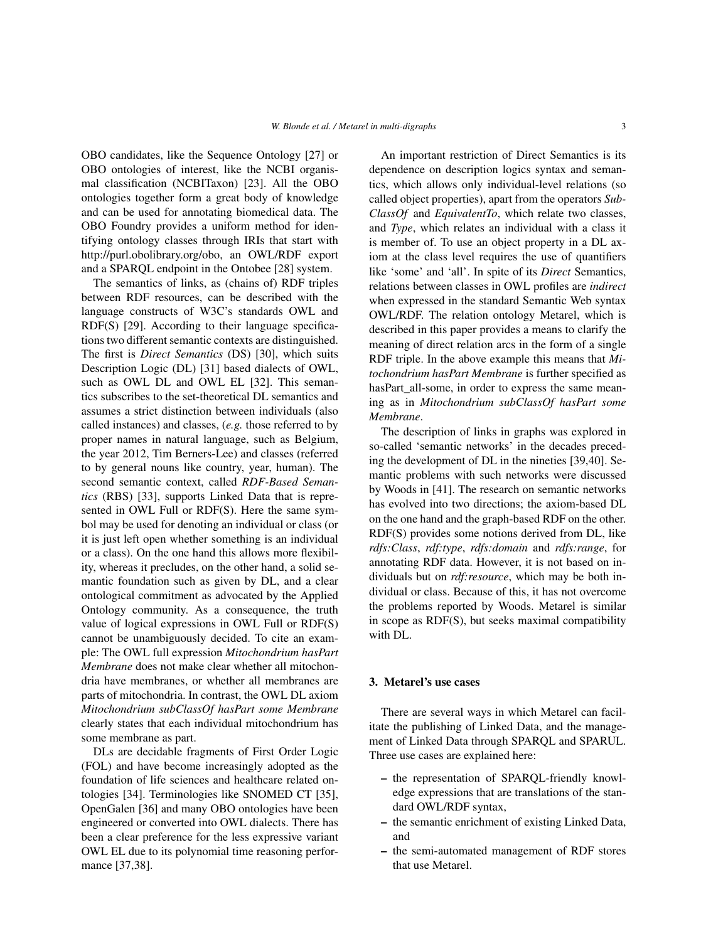OBO candidates, like the Sequence Ontology [27] or OBO ontologies of interest, like the NCBI organismal classification (NCBITaxon) [23]. All the OBO ontologies together form a great body of knowledge and can be used for annotating biomedical data. The OBO Foundry provides a uniform method for identifying ontology classes through IRIs that start with http://purl.obolibrary.org/obo, an OWL/RDF export and a SPARQL endpoint in the Ontobee [28] system.

The semantics of links, as (chains of) RDF triples between RDF resources, can be described with the language constructs of W3C's standards OWL and RDF(S) [29]. According to their language specifications two different semantic contexts are distinguished. The first is *Direct Semantics* (DS) [30], which suits Description Logic (DL) [31] based dialects of OWL, such as OWL DL and OWL EL [32]. This semantics subscribes to the set-theoretical DL semantics and assumes a strict distinction between individuals (also called instances) and classes, (*e.g.* those referred to by proper names in natural language, such as Belgium, the year 2012, Tim Berners-Lee) and classes (referred to by general nouns like country, year, human). The second semantic context, called *RDF-Based Semantics* (RBS) [33], supports Linked Data that is represented in OWL Full or RDF(S). Here the same symbol may be used for denoting an individual or class (or it is just left open whether something is an individual or a class). On the one hand this allows more flexibility, whereas it precludes, on the other hand, a solid semantic foundation such as given by DL, and a clear ontological commitment as advocated by the Applied Ontology community. As a consequence, the truth value of logical expressions in OWL Full or RDF(S) cannot be unambiguously decided. To cite an example: The OWL full expression *Mitochondrium hasPart Membrane* does not make clear whether all mitochondria have membranes, or whether all membranes are parts of mitochondria. In contrast, the OWL DL axiom *Mitochondrium subClassOf hasPart some Membrane* clearly states that each individual mitochondrium has some membrane as part.

DLs are decidable fragments of First Order Logic (FOL) and have become increasingly adopted as the foundation of life sciences and healthcare related ontologies [34]. Terminologies like SNOMED CT [35], OpenGalen [36] and many OBO ontologies have been engineered or converted into OWL dialects. There has been a clear preference for the less expressive variant OWL EL due to its polynomial time reasoning performance [37,38].

An important restriction of Direct Semantics is its dependence on description logics syntax and semantics, which allows only individual-level relations (so called object properties), apart from the operators *Sub-ClassOf* and *EquivalentTo*, which relate two classes, and *Type*, which relates an individual with a class it is member of. To use an object property in a DL axiom at the class level requires the use of quantifiers like 'some' and 'all'. In spite of its *Direct* Semantics, relations between classes in OWL profiles are *indirect* when expressed in the standard Semantic Web syntax OWL/RDF. The relation ontology Metarel, which is described in this paper provides a means to clarify the meaning of direct relation arcs in the form of a single RDF triple. In the above example this means that *Mitochondrium hasPart Membrane* is further specified as hasPart\_all-some, in order to express the same meaning as in *Mitochondrium subClassOf hasPart some Membrane*.

The description of links in graphs was explored in so-called 'semantic networks' in the decades preceding the development of DL in the nineties [39,40]. Semantic problems with such networks were discussed by Woods in [41]. The research on semantic networks has evolved into two directions; the axiom-based DL on the one hand and the graph-based RDF on the other. RDF(S) provides some notions derived from DL, like *rdfs:Class*, *rdf:type*, *rdfs:domain* and *rdfs:range*, for annotating RDF data. However, it is not based on individuals but on *rdf:resource*, which may be both individual or class. Because of this, it has not overcome the problems reported by Woods. Metarel is similar in scope as RDF(S), but seeks maximal compatibility with DL.

#### 3. Metarel's use cases

There are several ways in which Metarel can facilitate the publishing of Linked Data, and the management of Linked Data through SPARQL and SPARUL. Three use cases are explained here:

- the representation of SPARQL-friendly knowledge expressions that are translations of the standard OWL/RDF syntax,
- the semantic enrichment of existing Linked Data, and
- the semi-automated management of RDF stores that use Metarel.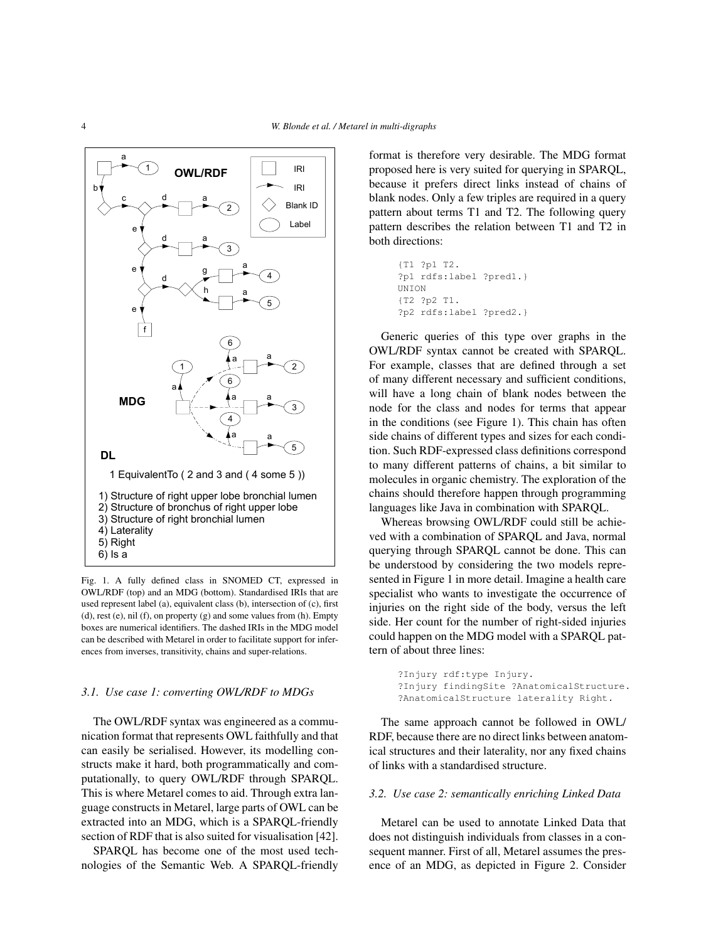

Fig. 1. A fully defined class in SNOMED CT, expressed in OWL/RDF (top) and an MDG (bottom). Standardised IRIs that are used represent label (a), equivalent class (b), intersection of (c), first (d), rest (e), nil (f), on property (g) and some values from (h). Empty boxes are numerical identifiers. The dashed IRIs in the MDG model can be described with Metarel in order to facilitate support for inferences from inverses, transitivity, chains and super-relations.

# *3.1. Use case 1: converting OWL/RDF to MDGs*

The OWL/RDF syntax was engineered as a communication format that represents OWL faithfully and that can easily be serialised. However, its modelling constructs make it hard, both programmatically and computationally, to query OWL/RDF through SPARQL. This is where Metarel comes to aid. Through extra language constructs in Metarel, large parts of OWL can be extracted into an MDG, which is a SPARQL-friendly section of RDF that is also suited for visualisation [42].

SPARQL has become one of the most used technologies of the Semantic Web. A SPARQL-friendly format is therefore very desirable. The MDG format proposed here is very suited for querying in SPARQL, because it prefers direct links instead of chains of blank nodes. Only a few triples are required in a query pattern about terms T1 and T2. The following query pattern describes the relation between T1 and T2 in both directions:

```
{T1 ?p1 T2.
?p1 rdfs:label ?pred1.}
UNION
{T2 ?p2 T1.
?p2 rdfs:label ?pred2.}
```
Generic queries of this type over graphs in the OWL/RDF syntax cannot be created with SPARQL. For example, classes that are defined through a set of many different necessary and sufficient conditions, will have a long chain of blank nodes between the node for the class and nodes for terms that appear in the conditions (see Figure 1). This chain has often side chains of different types and sizes for each condition. Such RDF-expressed class definitions correspond to many different patterns of chains, a bit similar to molecules in organic chemistry. The exploration of the chains should therefore happen through programming languages like Java in combination with SPARQL.

Whereas browsing OWL/RDF could still be achieved with a combination of SPARQL and Java, normal querying through SPARQL cannot be done. This can be understood by considering the two models represented in Figure 1 in more detail. Imagine a health care specialist who wants to investigate the occurrence of injuries on the right side of the body, versus the left side. Her count for the number of right-sided injuries could happen on the MDG model with a SPARQL pattern of about three lines:

> ?Injury rdf:type Injury. ?Injury findingSite ?AnatomicalStructure. ?AnatomicalStructure laterality Right.

The same approach cannot be followed in OWL/ RDF, because there are no direct links between anatomical structures and their laterality, nor any fixed chains of links with a standardised structure.

# *3.2. Use case 2: semantically enriching Linked Data*

Metarel can be used to annotate Linked Data that does not distinguish individuals from classes in a consequent manner. First of all, Metarel assumes the presence of an MDG, as depicted in Figure 2. Consider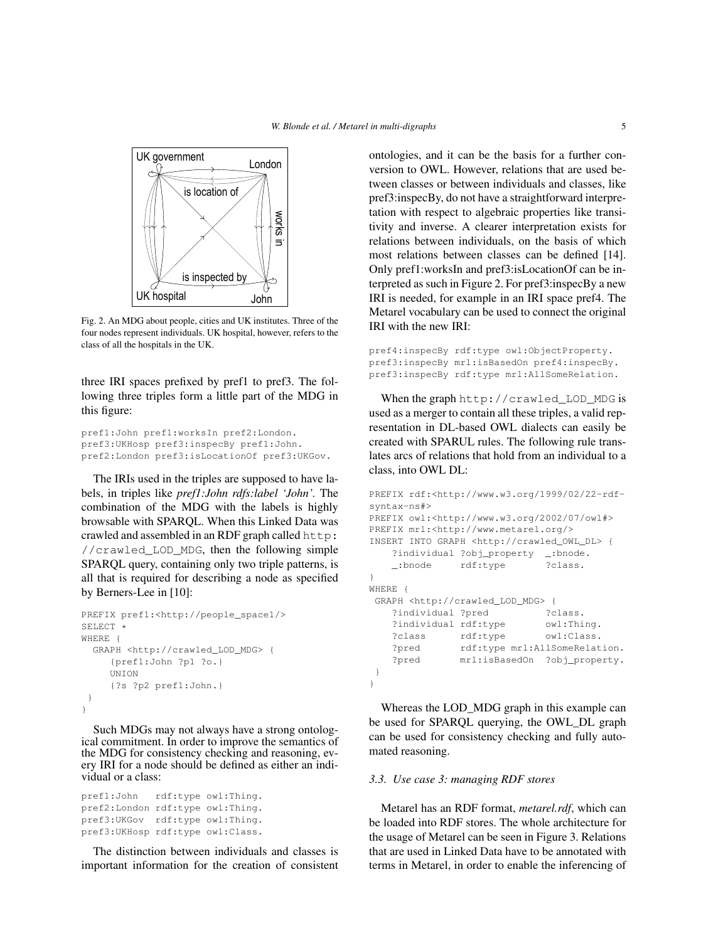

Fig. 2. An MDG about people, cities and UK institutes. Three of the four nodes represent individuals. UK hospital, however, refers to the class of all the hospitals in the UK.

three IRI spaces prefixed by pref1 to pref3. The following three triples form a little part of the MDG in this figure:

pref1:John pref1:worksIn pref2:London. pref3:UKHosp pref3:inspecBy pref1:John. pref2:London pref3:isLocationOf pref3:UKGov.

The IRIs used in the triples are supposed to have labels, in triples like *pref1:John rdfs:label 'John'.* The combination of the MDG with the labels is highly browsable with SPARQL. When this Linked Data was crawled and assembled in an RDF graph called http: //crawled\_LOD\_MDG, then the following simple SPARQL query, containing only two triple patterns, is all that is required for describing a node as specified by Berners-Lee in [10]:

```
PREFIX pref1:<http://people_space1/>
SELECT *
WHERE {
  GRAPH <http://crawled_LOD_MDG> {
     {pref1:John ?p1 ?o.}
     UNION
     {?s ?p2 pref1:John.}
 }
}
```
Such MDGs may not always have a strong ontological commitment. In order to improve the semantics of the MDG for consistency checking and reasoning, every IRI for a node should be defined as either an individual or a class:

pref1:John rdf:type owl:Thing. pref2:London rdf:type owl:Thing. pref3:UKGov rdf:type owl:Thing. pref3:UKHosp rdf:type owl:Class.

The distinction between individuals and classes is important information for the creation of consistent ontologies, and it can be the basis for a further conversion to OWL. However, relations that are used between classes or between individuals and classes, like pref3:inspecBy, do not have a straightforward interpretation with respect to algebraic properties like transitivity and inverse. A clearer interpretation exists for relations between individuals, on the basis of which most relations between classes can be defined [14]. Only pref1:worksIn and pref3:isLocationOf can be interpreted as such in Figure 2. For pref3:inspecBy a new IRI is needed, for example in an IRI space pref4. The Metarel vocabulary can be used to connect the original IRI with the new IRI:

```
pref4:inspecBy rdf:type owl:ObjectProperty.
pref3:inspecBy mrl:isBasedOn pref4:inspecBy.
pref3:inspecBy rdf:type mrl:AllSomeRelation.
```
When the graph http://crawled\_LOD\_MDG is used as a merger to contain all these triples, a valid representation in DL-based OWL dialects can easily be created with SPARUL rules. The following rule translates arcs of relations that hold from an individual to a class, into OWL DL:

```
PREFIX rdf:<http://www.w3.org/1999/02/22-rdf-
syntax-ns#>
PREFIX owl:<http://www.w3.org/2002/07/owl#>
PREFIX mrl:<http://www.metarel.org/>
INSERT INTO GRAPH <http://crawled_OWL_DL> {
   ?individual ?obj_property _:bnode.
   _:bnode rdf:type ?class.
}
WHERE {
GRAPH <http://crawled_LOD_MDG> {
   ?individual ?pred ?class.
   ?individual rdf:type owl:Thing.
   ?class rdf:type owl:Class.
   ?pred rdf:type mrl:AllSomeRelation.
   ?pred mrl:isBasedOn ?obj_property.
}
}
```
Whereas the LOD MDG graph in this example can be used for SPARQL querying, the OWL\_DL graph can be used for consistency checking and fully automated reasoning.

#### *3.3. Use case 3: managing RDF stores*

Metarel has an RDF format, *metarel.rdf*, which can be loaded into RDF stores. The whole architecture for the usage of Metarel can be seen in Figure 3. Relations that are used in Linked Data have to be annotated with terms in Metarel, in order to enable the inferencing of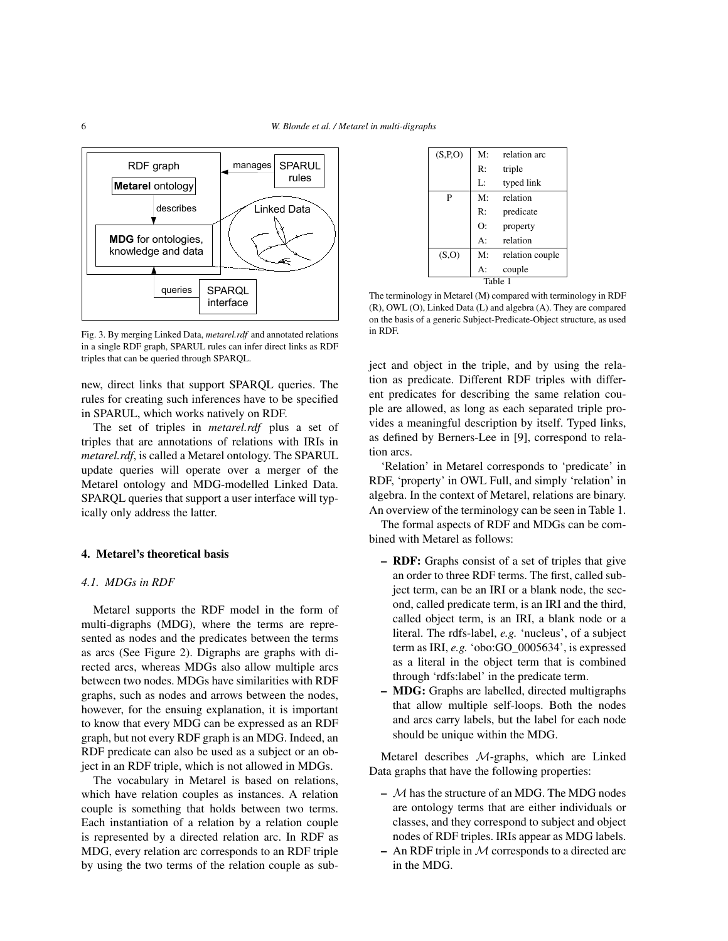

Fig. 3. By merging Linked Data, *metarel.rdf* and annotated relations in a single RDF graph, SPARUL rules can infer direct links as RDF triples that can be queried through SPARQL.

new, direct links that support SPARQL queries. The rules for creating such inferences have to be specified in SPARUL, which works natively on RDF.

The set of triples in *metarel.rdf* plus a set of triples that are annotations of relations with IRIs in *metarel.rdf*, is called a Metarel ontology. The SPARUL update queries will operate over a merger of the Metarel ontology and MDG-modelled Linked Data. SPARQL queries that support a user interface will typically only address the latter.

# 4. Metarel's theoretical basis

# *4.1. MDGs in RDF*

Metarel supports the RDF model in the form of multi-digraphs (MDG), where the terms are represented as nodes and the predicates between the terms as arcs (See Figure 2). Digraphs are graphs with directed arcs, whereas MDGs also allow multiple arcs between two nodes. MDGs have similarities with RDF graphs, such as nodes and arrows between the nodes, however, for the ensuing explanation, it is important to know that every MDG can be expressed as an RDF graph, but not every RDF graph is an MDG. Indeed, an RDF predicate can also be used as a subject or an object in an RDF triple, which is not allowed in MDGs.

The vocabulary in Metarel is based on relations, which have relation couples as instances. A relation couple is something that holds between two terms. Each instantiation of a relation by a relation couple is represented by a directed relation arc. In RDF as MDG, every relation arc corresponds to an RDF triple by using the two terms of the relation couple as sub-

| (S, P, O) | M:          | relation arc    |  |  |  |
|-----------|-------------|-----------------|--|--|--|
|           | R:          | triple          |  |  |  |
|           | Ŀ.          | typed link      |  |  |  |
| P         | $M^{\cdot}$ | relation        |  |  |  |
|           | R:          | predicate       |  |  |  |
|           | O:          | property        |  |  |  |
|           | $A$ :       | relation        |  |  |  |
| (S, O)    | M:          | relation couple |  |  |  |
|           | $A$ :       | couple          |  |  |  |
| Table 1   |             |                 |  |  |  |

The terminology in Metarel (M) compared with terminology in RDF (R), OWL (O), Linked Data (L) and algebra (A). They are compared on the basis of a generic Subject-Predicate-Object structure, as used in RDF.

ject and object in the triple, and by using the relation as predicate. Different RDF triples with different predicates for describing the same relation couple are allowed, as long as each separated triple provides a meaningful description by itself. Typed links, as defined by Berners-Lee in [9], correspond to relation arcs.

'Relation' in Metarel corresponds to 'predicate' in RDF, 'property' in OWL Full, and simply 'relation' in algebra. In the context of Metarel, relations are binary. An overview of the terminology can be seen in Table 1.

The formal aspects of RDF and MDGs can be combined with Metarel as follows:

- RDF: Graphs consist of a set of triples that give an order to three RDF terms. The first, called subject term, can be an IRI or a blank node, the second, called predicate term, is an IRI and the third, called object term, is an IRI, a blank node or a literal. The rdfs-label, *e.g.* 'nucleus', of a subject term as IRI, *e.g.* 'obo:GO\_0005634', is expressed as a literal in the object term that is combined through 'rdfs:label' in the predicate term.
- MDG: Graphs are labelled, directed multigraphs that allow multiple self-loops. Both the nodes and arcs carry labels, but the label for each node should be unique within the MDG.

Metarel describes M-graphs, which are Linked Data graphs that have the following properties:

- $-$  M has the structure of an MDG. The MDG nodes are ontology terms that are either individuals or classes, and they correspond to subject and object nodes of RDF triples. IRIs appear as MDG labels.
- An RDF triple in  $M$  corresponds to a directed arc in the MDG.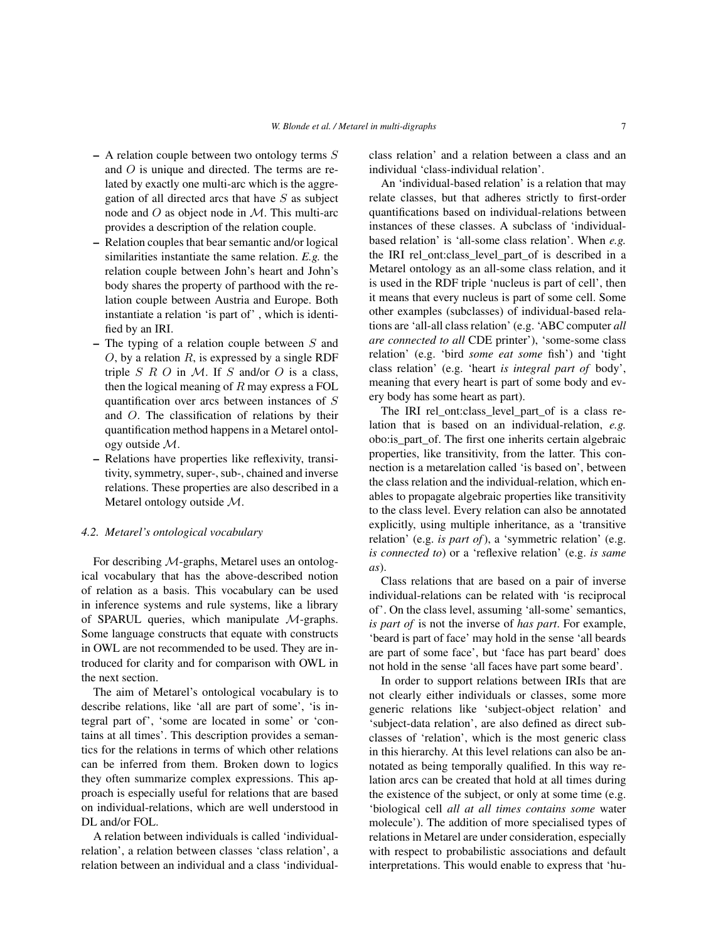- $-$  A relation couple between two ontology terms  $S$ and O is unique and directed. The terms are related by exactly one multi-arc which is the aggregation of all directed arcs that have  $S$  as subject node and  $O$  as object node in  $M$ . This multi-arc provides a description of the relation couple.
- Relation couples that bear semantic and/or logical similarities instantiate the same relation. *E.g.* the relation couple between John's heart and John's body shares the property of parthood with the relation couple between Austria and Europe. Both instantiate a relation 'is part of' , which is identified by an IRI.
- The typing of a relation couple between  $S$  and  $O$ , by a relation  $R$ , is expressed by a single RDF triple  $S \ R \ O$  in  $M$ . If  $S$  and/or  $O$  is a class, then the logical meaning of  $R$  may express a FOL quantification over arcs between instances of S and O. The classification of relations by their quantification method happens in a Metarel ontology outside M.
- Relations have properties like reflexivity, transitivity, symmetry, super-, sub-, chained and inverse relations. These properties are also described in a Metarel ontology outside M.

#### *4.2. Metarel's ontological vocabulary*

For describing M-graphs, Metarel uses an ontological vocabulary that has the above-described notion of relation as a basis. This vocabulary can be used in inference systems and rule systems, like a library of SPARUL queries, which manipulate M-graphs. Some language constructs that equate with constructs in OWL are not recommended to be used. They are introduced for clarity and for comparison with OWL in the next section.

The aim of Metarel's ontological vocabulary is to describe relations, like 'all are part of some', 'is integral part of', 'some are located in some' or 'contains at all times'. This description provides a semantics for the relations in terms of which other relations can be inferred from them. Broken down to logics they often summarize complex expressions. This approach is especially useful for relations that are based on individual-relations, which are well understood in DL and/or FOL.

A relation between individuals is called 'individualrelation', a relation between classes 'class relation', a relation between an individual and a class 'individualclass relation' and a relation between a class and an individual 'class-individual relation'.

An 'individual-based relation' is a relation that may relate classes, but that adheres strictly to first-order quantifications based on individual-relations between instances of these classes. A subclass of 'individualbased relation' is 'all-some class relation'. When *e.g.* the IRI rel\_ont:class\_level\_part\_of is described in a Metarel ontology as an all-some class relation, and it is used in the RDF triple 'nucleus is part of cell', then it means that every nucleus is part of some cell. Some other examples (subclasses) of individual-based relations are 'all-all class relation' (e.g. 'ABC computer *all are connected to all* CDE printer'), 'some-some class relation' (e.g. 'bird *some eat some* fish') and 'tight class relation' (e.g. 'heart *is integral part of* body', meaning that every heart is part of some body and every body has some heart as part).

The IRI rel\_ont:class\_level\_part\_of is a class relation that is based on an individual-relation, *e.g.* obo:is\_part\_of. The first one inherits certain algebraic properties, like transitivity, from the latter. This connection is a metarelation called 'is based on', between the class relation and the individual-relation, which enables to propagate algebraic properties like transitivity to the class level. Every relation can also be annotated explicitly, using multiple inheritance, as a 'transitive relation' (e.g. *is part of*), a 'symmetric relation' (e.g. *is connected to*) or a 'reflexive relation' (e.g. *is same as*).

Class relations that are based on a pair of inverse individual-relations can be related with 'is reciprocal of'. On the class level, assuming 'all-some' semantics, *is part of* is not the inverse of *has part*. For example, 'beard is part of face' may hold in the sense 'all beards are part of some face', but 'face has part beard' does not hold in the sense 'all faces have part some beard'.

In order to support relations between IRIs that are not clearly either individuals or classes, some more generic relations like 'subject-object relation' and 'subject-data relation', are also defined as direct subclasses of 'relation', which is the most generic class in this hierarchy. At this level relations can also be annotated as being temporally qualified. In this way relation arcs can be created that hold at all times during the existence of the subject, or only at some time (e.g. 'biological cell *all at all times contains some* water molecule'). The addition of more specialised types of relations in Metarel are under consideration, especially with respect to probabilistic associations and default interpretations. This would enable to express that 'hu-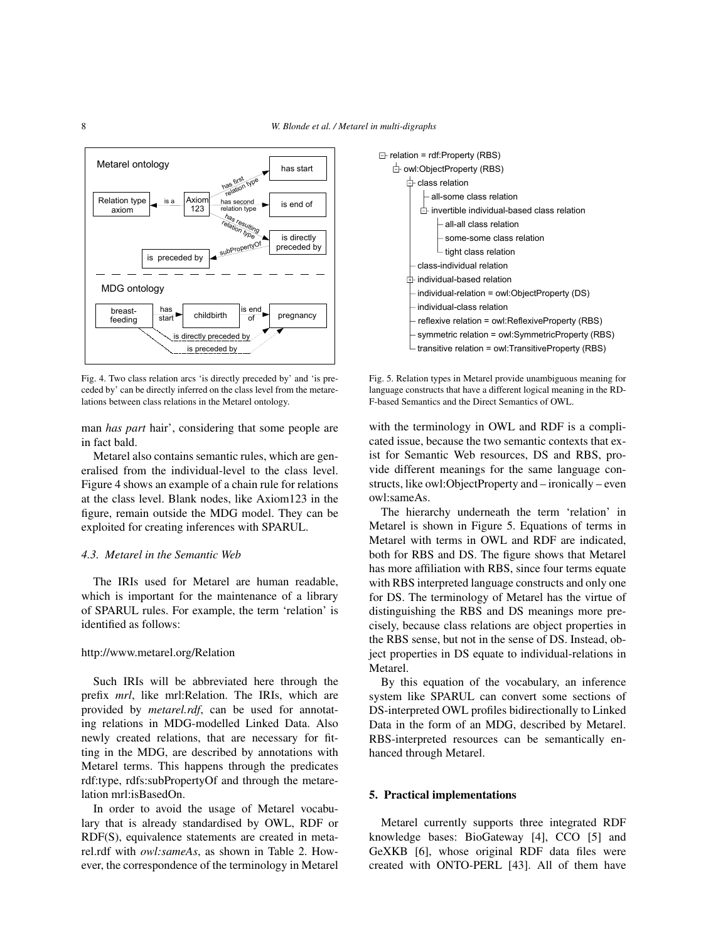

Fig. 4. Two class relation arcs 'is directly preceded by' and 'is preceded by' can be directly inferred on the class level from the metarelations between class relations in the Metarel ontology.

man *has part* hair', considering that some people are in fact bald.

Metarel also contains semantic rules, which are generalised from the individual-level to the class level. Figure 4 shows an example of a chain rule for relations at the class level. Blank nodes, like Axiom123 in the figure, remain outside the MDG model. They can be exploited for creating inferences with SPARUL.

# *4.3. Metarel in the Semantic Web*

The IRIs used for Metarel are human readable, which is important for the maintenance of a library of SPARUL rules. For example, the term 'relation' is identified as follows:

### http://www.metarel.org/Relation

Such IRIs will be abbreviated here through the prefix *mrl*, like mrl:Relation. The IRIs, which are provided by *metarel.rdf*, can be used for annotating relations in MDG-modelled Linked Data. Also newly created relations, that are necessary for fitting in the MDG, are described by annotations with Metarel terms. This happens through the predicates rdf:type, rdfs:subPropertyOf and through the metarelation mrl:isBasedOn.

In order to avoid the usage of Metarel vocabulary that is already standardised by OWL, RDF or RDF(S), equivalence statements are created in metarel.rdf with *owl:sameAs*, as shown in Table 2. However, the correspondence of the terminology in Metarel



Fig. 5. Relation types in Metarel provide unambiguous meaning for language constructs that have a different logical meaning in the RD-F-based Semantics and the Direct Semantics of OWL.

with the terminology in OWL and RDF is a complicated issue, because the two semantic contexts that exist for Semantic Web resources, DS and RBS, provide different meanings for the same language constructs, like owl:ObjectProperty and – ironically – even owl:sameAs.

The hierarchy underneath the term 'relation' in Metarel is shown in Figure 5. Equations of terms in Metarel with terms in OWL and RDF are indicated, both for RBS and DS. The figure shows that Metarel has more affiliation with RBS, since four terms equate with RBS interpreted language constructs and only one for DS. The terminology of Metarel has the virtue of distinguishing the RBS and DS meanings more precisely, because class relations are object properties in the RBS sense, but not in the sense of DS. Instead, object properties in DS equate to individual-relations in Metarel.

By this equation of the vocabulary, an inference system like SPARUL can convert some sections of DS-interpreted OWL profiles bidirectionally to Linked Data in the form of an MDG, described by Metarel. RBS-interpreted resources can be semantically enhanced through Metarel.

# 5. Practical implementations

Metarel currently supports three integrated RDF knowledge bases: BioGateway [4], CCO [5] and GeXKB [6], whose original RDF data files were created with ONTO-PERL [43]. All of them have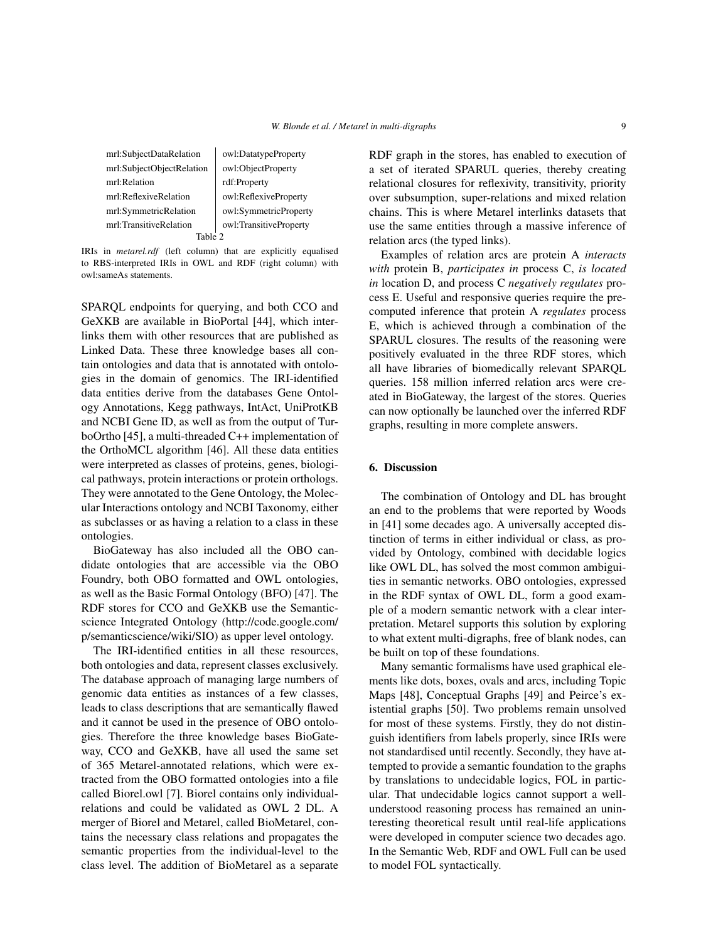mrl:SubjectDataRelation | owl:DatatypeProperty mrl:SubjectObjectRelation | owl:ObjectProperty mrl:Relation rdf:Property mrl:ReflexiveRelation wl:ReflexiveProperty mrl:SymmetricRelation | owl:SymmetricProperty mrl:TransitiveRelation | owl:TransitiveProperty Table 2

IRIs in *metarel.rdf* (left column) that are explicitly equalised to RBS-interpreted IRIs in OWL and RDF (right column) with owl:sameAs statements.

SPARQL endpoints for querying, and both CCO and GeXKB are available in BioPortal [44], which interlinks them with other resources that are published as Linked Data. These three knowledge bases all contain ontologies and data that is annotated with ontologies in the domain of genomics. The IRI-identified data entities derive from the databases Gene Ontology Annotations, Kegg pathways, IntAct, UniProtKB and NCBI Gene ID, as well as from the output of TurboOrtho [45], a multi-threaded C++ implementation of the OrthoMCL algorithm [46]. All these data entities were interpreted as classes of proteins, genes, biological pathways, protein interactions or protein orthologs. They were annotated to the Gene Ontology, the Molecular Interactions ontology and NCBI Taxonomy, either as subclasses or as having a relation to a class in these ontologies.

BioGateway has also included all the OBO candidate ontologies that are accessible via the OBO Foundry, both OBO formatted and OWL ontologies, as well as the Basic Formal Ontology (BFO) [47]. The RDF stores for CCO and GeXKB use the Semanticscience Integrated Ontology (http://code.google.com/ p/semanticscience/wiki/SIO) as upper level ontology.

The IRI-identified entities in all these resources, both ontologies and data, represent classes exclusively. The database approach of managing large numbers of genomic data entities as instances of a few classes, leads to class descriptions that are semantically flawed and it cannot be used in the presence of OBO ontologies. Therefore the three knowledge bases BioGateway, CCO and GeXKB, have all used the same set of 365 Metarel-annotated relations, which were extracted from the OBO formatted ontologies into a file called Biorel.owl [7]. Biorel contains only individualrelations and could be validated as OWL 2 DL. A merger of Biorel and Metarel, called BioMetarel, contains the necessary class relations and propagates the semantic properties from the individual-level to the class level. The addition of BioMetarel as a separate RDF graph in the stores, has enabled to execution of a set of iterated SPARUL queries, thereby creating relational closures for reflexivity, transitivity, priority over subsumption, super-relations and mixed relation chains. This is where Metarel interlinks datasets that use the same entities through a massive inference of relation arcs (the typed links).

Examples of relation arcs are protein A *interacts with* protein B, *participates in* process C, *is located in* location D, and process C *negatively regulates* process E. Useful and responsive queries require the precomputed inference that protein A *regulates* process E, which is achieved through a combination of the SPARUL closures. The results of the reasoning were positively evaluated in the three RDF stores, which all have libraries of biomedically relevant SPARQL queries. 158 million inferred relation arcs were created in BioGateway, the largest of the stores. Queries can now optionally be launched over the inferred RDF graphs, resulting in more complete answers.

#### 6. Discussion

The combination of Ontology and DL has brought an end to the problems that were reported by Woods in [41] some decades ago. A universally accepted distinction of terms in either individual or class, as provided by Ontology, combined with decidable logics like OWL DL, has solved the most common ambiguities in semantic networks. OBO ontologies, expressed in the RDF syntax of OWL DL, form a good example of a modern semantic network with a clear interpretation. Metarel supports this solution by exploring to what extent multi-digraphs, free of blank nodes, can be built on top of these foundations.

Many semantic formalisms have used graphical elements like dots, boxes, ovals and arcs, including Topic Maps [48], Conceptual Graphs [49] and Peirce's existential graphs [50]. Two problems remain unsolved for most of these systems. Firstly, they do not distinguish identifiers from labels properly, since IRIs were not standardised until recently. Secondly, they have attempted to provide a semantic foundation to the graphs by translations to undecidable logics, FOL in particular. That undecidable logics cannot support a wellunderstood reasoning process has remained an uninteresting theoretical result until real-life applications were developed in computer science two decades ago. In the Semantic Web, RDF and OWL Full can be used to model FOL syntactically.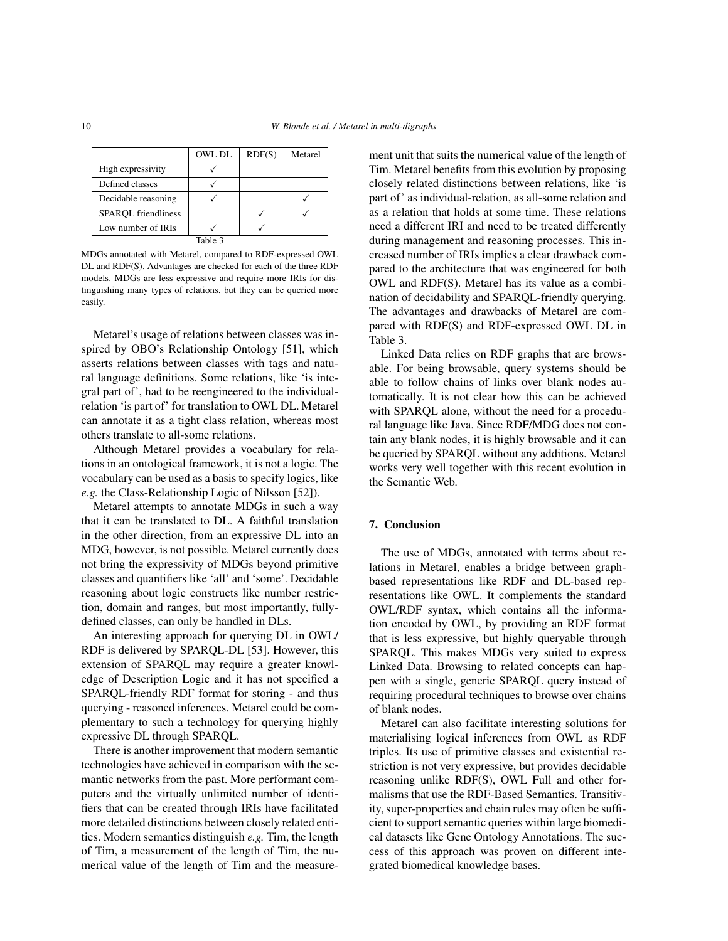|                            | <b>OWL DL</b> | RDF(S) | Metarel |
|----------------------------|---------------|--------|---------|
| High expressivity          |               |        |         |
| Defined classes            |               |        |         |
| Decidable reasoning        |               |        |         |
| <b>SPARQL</b> friendliness |               |        |         |
| Low number of IRIs         |               |        |         |
|                            | Table 3       |        |         |

MDGs annotated with Metarel, compared to RDF-expressed OWL DL and RDF(S). Advantages are checked for each of the three RDF models. MDGs are less expressive and require more IRIs for distinguishing many types of relations, but they can be queried more easily.

Metarel's usage of relations between classes was inspired by OBO's Relationship Ontology [51], which asserts relations between classes with tags and natural language definitions. Some relations, like 'is integral part of', had to be reengineered to the individualrelation 'is part of' for translation to OWL DL. Metarel can annotate it as a tight class relation, whereas most others translate to all-some relations.

Although Metarel provides a vocabulary for relations in an ontological framework, it is not a logic. The vocabulary can be used as a basis to specify logics, like *e.g.* the Class-Relationship Logic of Nilsson [52]).

Metarel attempts to annotate MDGs in such a way that it can be translated to DL. A faithful translation in the other direction, from an expressive DL into an MDG, however, is not possible. Metarel currently does not bring the expressivity of MDGs beyond primitive classes and quantifiers like 'all' and 'some'. Decidable reasoning about logic constructs like number restriction, domain and ranges, but most importantly, fullydefined classes, can only be handled in DLs.

An interesting approach for querying DL in OWL/ RDF is delivered by SPARQL-DL [53]. However, this extension of SPARQL may require a greater knowledge of Description Logic and it has not specified a SPARQL-friendly RDF format for storing - and thus querying - reasoned inferences. Metarel could be complementary to such a technology for querying highly expressive DL through SPARQL.

There is another improvement that modern semantic technologies have achieved in comparison with the semantic networks from the past. More performant computers and the virtually unlimited number of identifiers that can be created through IRIs have facilitated more detailed distinctions between closely related entities. Modern semantics distinguish *e.g.* Tim, the length of Tim, a measurement of the length of Tim, the numerical value of the length of Tim and the measurement unit that suits the numerical value of the length of Tim. Metarel benefits from this evolution by proposing closely related distinctions between relations, like 'is part of' as individual-relation, as all-some relation and as a relation that holds at some time. These relations need a different IRI and need to be treated differently during management and reasoning processes. This increased number of IRIs implies a clear drawback compared to the architecture that was engineered for both OWL and RDF(S). Metarel has its value as a combination of decidability and SPARQL-friendly querying. The advantages and drawbacks of Metarel are compared with RDF(S) and RDF-expressed OWL DL in Table 3.

Linked Data relies on RDF graphs that are browsable. For being browsable, query systems should be able to follow chains of links over blank nodes automatically. It is not clear how this can be achieved with SPARQL alone, without the need for a procedural language like Java. Since RDF/MDG does not contain any blank nodes, it is highly browsable and it can be queried by SPARQL without any additions. Metarel works very well together with this recent evolution in the Semantic Web.

# 7. Conclusion

The use of MDGs, annotated with terms about relations in Metarel, enables a bridge between graphbased representations like RDF and DL-based representations like OWL. It complements the standard OWL/RDF syntax, which contains all the information encoded by OWL, by providing an RDF format that is less expressive, but highly queryable through SPARQL. This makes MDGs very suited to express Linked Data. Browsing to related concepts can happen with a single, generic SPARQL query instead of requiring procedural techniques to browse over chains of blank nodes.

Metarel can also facilitate interesting solutions for materialising logical inferences from OWL as RDF triples. Its use of primitive classes and existential restriction is not very expressive, but provides decidable reasoning unlike RDF(S), OWL Full and other formalisms that use the RDF-Based Semantics. Transitivity, super-properties and chain rules may often be sufficient to support semantic queries within large biomedical datasets like Gene Ontology Annotations. The success of this approach was proven on different integrated biomedical knowledge bases.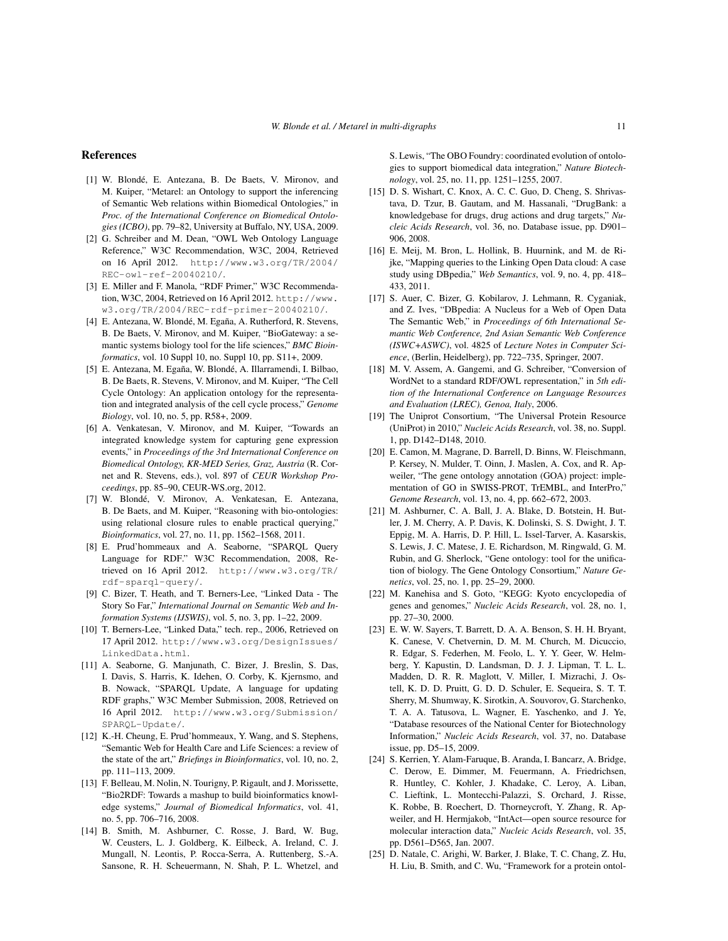#### References

- [1] W. Blondé, E. Antezana, B. De Baets, V. Mironov, and M. Kuiper, "Metarel: an Ontology to support the inferencing of Semantic Web relations within Biomedical Ontologies," in *Proc. of the International Conference on Biomedical Ontologies (ICBO)*, pp. 79–82, University at Buffalo, NY, USA, 2009.
- [2] G. Schreiber and M. Dean, "OWL Web Ontology Language Reference," W3C Recommendation, W3C, 2004, Retrieved on 16 April 2012. http://www.w3.org/TR/2004/ REC-owl-ref-20040210/.
- [3] E. Miller and F. Manola, "RDF Primer," W3C Recommendation, W3C, 2004, Retrieved on 16 April 2012. http://www. w3.org/TR/2004/REC-rdf-primer-20040210/.
- [4] E. Antezana, W. Blondé, M. Egaña, A. Rutherford, R. Stevens, B. De Baets, V. Mironov, and M. Kuiper, "BioGateway: a semantic systems biology tool for the life sciences," *BMC Bioinformatics*, vol. 10 Suppl 10, no. Suppl 10, pp. S11+, 2009.
- [5] E. Antezana, M. Egaña, W. Blondé, A. Illarramendi, I. Bilbao, B. De Baets, R. Stevens, V. Mironov, and M. Kuiper, "The Cell Cycle Ontology: An application ontology for the representation and integrated analysis of the cell cycle process," *Genome Biology*, vol. 10, no. 5, pp. R58+, 2009.
- [6] A. Venkatesan, V. Mironov, and M. Kuiper, "Towards an integrated knowledge system for capturing gene expression events," in *Proceedings of the 3rd International Conference on Biomedical Ontology, KR-MED Series, Graz, Austria* (R. Cornet and R. Stevens, eds.), vol. 897 of *CEUR Workshop Proceedings*, pp. 85–90, CEUR-WS.org, 2012.
- [7] W. Blondé, V. Mironov, A. Venkatesan, E. Antezana, B. De Baets, and M. Kuiper, "Reasoning with bio-ontologies: using relational closure rules to enable practical querying," *Bioinformatics*, vol. 27, no. 11, pp. 1562–1568, 2011.
- [8] E. Prud'hommeaux and A. Seaborne, "SPARQL Query Language for RDF." W3C Recommendation, 2008, Retrieved on 16 April 2012. http://www.w3.org/TR/ rdf-sparql-query/.
- [9] C. Bizer, T. Heath, and T. Berners-Lee, "Linked Data The Story So Far," *International Journal on Semantic Web and Information Systems (IJSWIS)*, vol. 5, no. 3, pp. 1–22, 2009.
- [10] T. Berners-Lee, "Linked Data," tech. rep., 2006, Retrieved on 17 April 2012. http://www.w3.org/DesignIssues/ LinkedData.html.
- [11] A. Seaborne, G. Manjunath, C. Bizer, J. Breslin, S. Das, I. Davis, S. Harris, K. Idehen, O. Corby, K. Kjernsmo, and B. Nowack, "SPARQL Update, A language for updating RDF graphs," W3C Member Submission, 2008, Retrieved on 16 April 2012. http://www.w3.org/Submission/ SPARQL-Update/.
- [12] K.-H. Cheung, E. Prud'hommeaux, Y. Wang, and S. Stephens, "Semantic Web for Health Care and Life Sciences: a review of the state of the art," *Briefings in Bioinformatics*, vol. 10, no. 2, pp. 111–113, 2009.
- [13] F. Belleau, M. Nolin, N. Tourigny, P. Rigault, and J. Morissette, "Bio2RDF: Towards a mashup to build bioinformatics knowledge systems," *Journal of Biomedical Informatics*, vol. 41, no. 5, pp. 706–716, 2008.
- [14] B. Smith, M. Ashburner, C. Rosse, J. Bard, W. Bug, W. Ceusters, L. J. Goldberg, K. Eilbeck, A. Ireland, C. J. Mungall, N. Leontis, P. Rocca-Serra, A. Ruttenberg, S.-A. Sansone, R. H. Scheuermann, N. Shah, P. L. Whetzel, and

S. Lewis, "The OBO Foundry: coordinated evolution of ontologies to support biomedical data integration," *Nature Biotechnology*, vol. 25, no. 11, pp. 1251–1255, 2007.

- [15] D. S. Wishart, C. Knox, A. C. C. Guo, D. Cheng, S. Shrivastava, D. Tzur, B. Gautam, and M. Hassanali, "DrugBank: a knowledgebase for drugs, drug actions and drug targets," *Nucleic Acids Research*, vol. 36, no. Database issue, pp. D901– 906, 2008.
- [16] E. Meij, M. Bron, L. Hollink, B. Huurnink, and M. de Rijke, "Mapping queries to the Linking Open Data cloud: A case study using DBpedia," *Web Semantics*, vol. 9, no. 4, pp. 418– 433, 2011.
- [17] S. Auer, C. Bizer, G. Kobilarov, J. Lehmann, R. Cyganiak, and Z. Ives, "DBpedia: A Nucleus for a Web of Open Data The Semantic Web," in *Proceedings of 6th International Semantic Web Conference, 2nd Asian Semantic Web Conference (ISWC+ASWC)*, vol. 4825 of *Lecture Notes in Computer Science*, (Berlin, Heidelberg), pp. 722–735, Springer, 2007.
- [18] M. V. Assem, A. Gangemi, and G. Schreiber, "Conversion of WordNet to a standard RDF/OWL representation," in *5th edition of the International Conference on Language Resources and Evaluation (LREC), Genoa, Italy*, 2006.
- [19] The Uniprot Consortium, "The Universal Protein Resource (UniProt) in 2010," *Nucleic Acids Research*, vol. 38, no. Suppl. 1, pp. D142–D148, 2010.
- [20] E. Camon, M. Magrane, D. Barrell, D. Binns, W. Fleischmann, P. Kersey, N. Mulder, T. Oinn, J. Maslen, A. Cox, and R. Apweiler, "The gene ontology annotation (GOA) project: implementation of GO in SWISS-PROT, TrEMBL, and InterPro," *Genome Research*, vol. 13, no. 4, pp. 662–672, 2003.
- [21] M. Ashburner, C. A. Ball, J. A. Blake, D. Botstein, H. Butler, J. M. Cherry, A. P. Davis, K. Dolinski, S. S. Dwight, J. T. Eppig, M. A. Harris, D. P. Hill, L. Issel-Tarver, A. Kasarskis, S. Lewis, J. C. Matese, J. E. Richardson, M. Ringwald, G. M. Rubin, and G. Sherlock, "Gene ontology: tool for the unification of biology. The Gene Ontology Consortium," *Nature Genetics*, vol. 25, no. 1, pp. 25–29, 2000.
- [22] M. Kanehisa and S. Goto, "KEGG: Kyoto encyclopedia of genes and genomes," *Nucleic Acids Research*, vol. 28, no. 1, pp. 27–30, 2000.
- [23] E. W. W. Sayers, T. Barrett, D. A. A. Benson, S. H. H. Bryant, K. Canese, V. Chetvernin, D. M. M. Church, M. Dicuccio, R. Edgar, S. Federhen, M. Feolo, L. Y. Y. Geer, W. Helmberg, Y. Kapustin, D. Landsman, D. J. J. Lipman, T. L. L. Madden, D. R. R. Maglott, V. Miller, I. Mizrachi, J. Ostell, K. D. D. Pruitt, G. D. D. Schuler, E. Sequeira, S. T. T. Sherry, M. Shumway, K. Sirotkin, A. Souvorov, G. Starchenko, T. A. A. Tatusova, L. Wagner, E. Yaschenko, and J. Ye, "Database resources of the National Center for Biotechnology Information," *Nucleic Acids Research*, vol. 37, no. Database issue, pp. D5–15, 2009.
- [24] S. Kerrien, Y. Alam-Faruque, B. Aranda, I. Bancarz, A. Bridge, C. Derow, E. Dimmer, M. Feuermann, A. Friedrichsen, R. Huntley, C. Kohler, J. Khadake, C. Leroy, A. Liban, C. Lieftink, L. Montecchi-Palazzi, S. Orchard, J. Risse, K. Robbe, B. Roechert, D. Thorneycroft, Y. Zhang, R. Apweiler, and H. Hermjakob, "IntAct—open source resource for molecular interaction data," *Nucleic Acids Research*, vol. 35, pp. D561–D565, Jan. 2007.
- [25] D. Natale, C. Arighi, W. Barker, J. Blake, T. C. Chang, Z. Hu, H. Liu, B. Smith, and C. Wu, "Framework for a protein ontol-